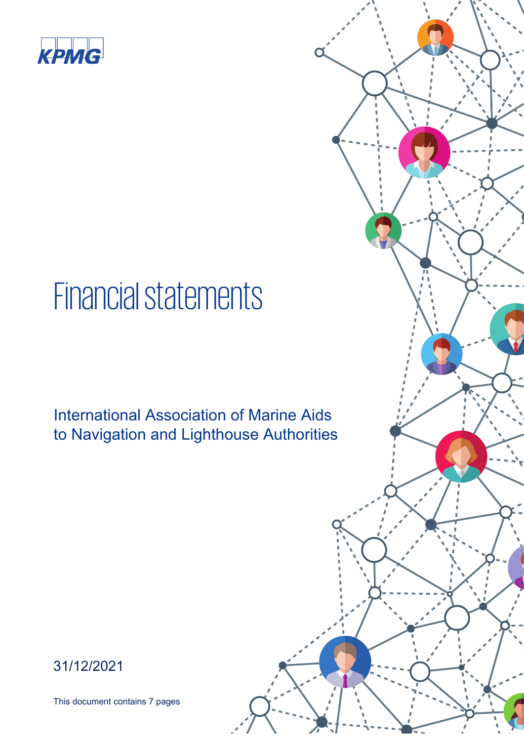

## Financial statements

International Association of Marine Aids to Navigation and Lighthouse Authorities

31/12/2021

This document contains 7 pages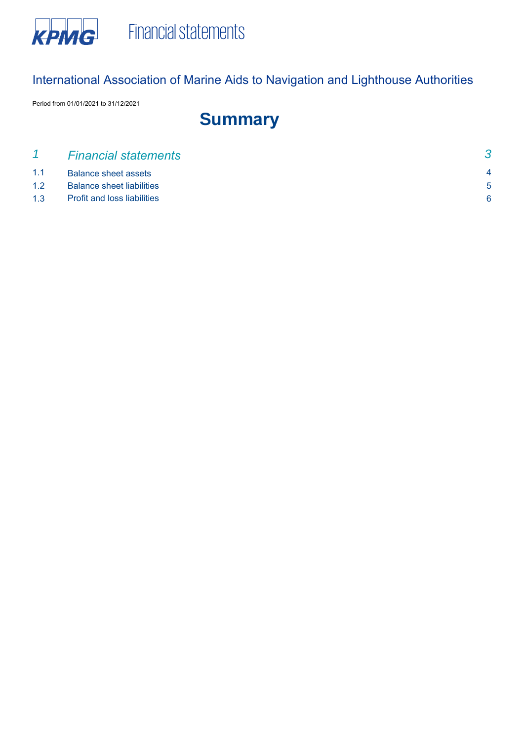

Period from 01/01/2021 to 31/12/2021

## **Summary**

|     | <b>Financial statements</b>        |              |
|-----|------------------------------------|--------------|
| 1.1 | <b>Balance sheet assets</b>        | $\mathbf{A}$ |
| 1.2 | <b>Balance sheet liabilities</b>   | $5^{\circ}$  |
| 1.3 | <b>Profit and loss liabilities</b> |              |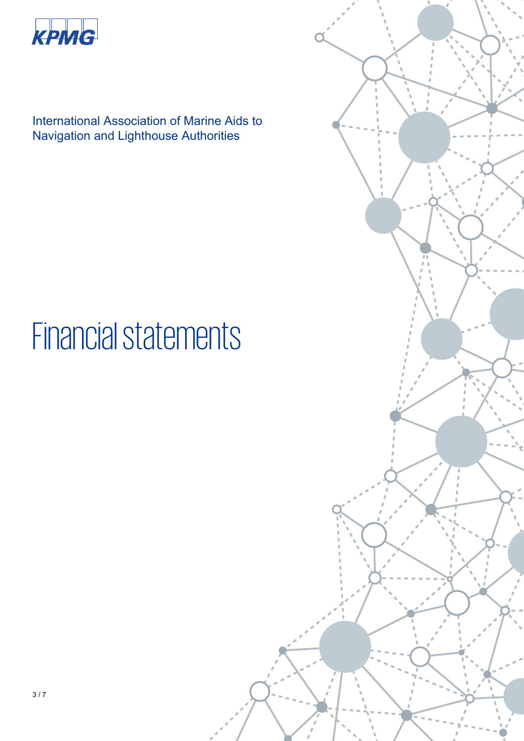

# Financial statements

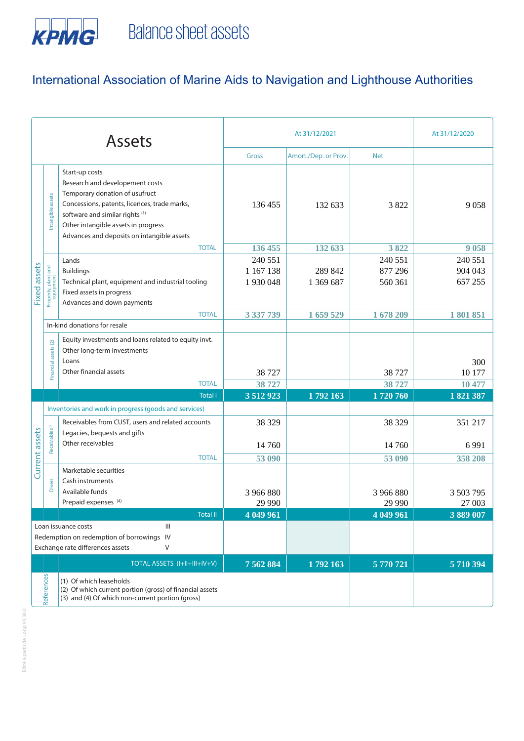

| <b>Assets</b>                                                                                                                                   |                                  |                                                                                                                                                                                                                                                             | At 31/12/2020                   |                                 |                               |                               |
|-------------------------------------------------------------------------------------------------------------------------------------------------|----------------------------------|-------------------------------------------------------------------------------------------------------------------------------------------------------------------------------------------------------------------------------------------------------------|---------------------------------|---------------------------------|-------------------------------|-------------------------------|
|                                                                                                                                                 |                                  |                                                                                                                                                                                                                                                             | <b>Gross</b>                    | Amort./Dep. or Prov.            | <b>Net</b>                    |                               |
|                                                                                                                                                 | Intangible assets                | Start-up costs<br>Research and developement costs<br>Temporary donation of usufruct<br>Concessions, patents, licences, trade marks,<br>software and similar rights (1)<br>Other intangible assets in progress<br>Advances and deposits on intangible assets | 136 455                         | 132 633                         | 3 8 2 2                       | 9058                          |
|                                                                                                                                                 |                                  | <b>TOTAL</b>                                                                                                                                                                                                                                                | 136 455                         | 132 633                         | 3822                          | 9058                          |
| Fixed assets                                                                                                                                    | Property, plant and<br>equipment | Lands<br><b>Buildings</b><br>Technical plant, equipment and industrial tooling<br>Fixed assets in progress<br>Advances and down payments                                                                                                                    | 240 551<br>1 167 138<br>1930048 | 289 842<br>1 369 687            | 240 551<br>877 296<br>560 361 | 240 551<br>904 043<br>657 255 |
|                                                                                                                                                 |                                  | <b>TOTAL</b>                                                                                                                                                                                                                                                | 3 337 739                       | 1 659 529                       | 1678 209                      | 1801851                       |
|                                                                                                                                                 |                                  | In-kind donations for resale                                                                                                                                                                                                                                |                                 |                                 |                               |                               |
|                                                                                                                                                 | Financial assets (2)             | Equity investments and loans related to equity invt.<br>Other long-term investments<br>Loans<br>Other financial assets<br><b>TOTAL</b>                                                                                                                      | 38 7 27<br>38 727               |                                 | 38 727<br>38 727              | 300<br>10 177<br>10 477       |
|                                                                                                                                                 |                                  | <b>Total I</b>                                                                                                                                                                                                                                              | 3 512 923                       | $1\overline{792}1\overline{63}$ | 1720760                       | 1821387                       |
|                                                                                                                                                 |                                  | Inventories and work in progress (goods and services)                                                                                                                                                                                                       |                                 |                                 |                               |                               |
| Current assets                                                                                                                                  | Receivables <sup>(3)</sup>       | Receivables from CUST, users and related accounts<br>Legacies, bequests and gifts<br>Other receivables<br><b>TOTAL</b>                                                                                                                                      | 38 329<br>14 760<br>53 090      |                                 | 38 329<br>14 760<br>53 090    | 351 217<br>6 9 9 1<br>358 208 |
|                                                                                                                                                 | <b>Divers</b>                    | Marketable securities<br>Cash instruments<br>Available funds<br>Prepaid expenses (4)                                                                                                                                                                        | 3 966 880<br>29 990             |                                 | 3 966 880<br>29 990           | 3 503 795<br>27 003           |
| <b>Total II</b>                                                                                                                                 |                                  | 4 049 961                                                                                                                                                                                                                                                   |                                 | 4 049 961                       | 3889 007                      |                               |
| $\ensuremath{\mathsf{III}}\xspace$<br>Loan issuance costs<br>Redemption on redemption of borrowings IV<br>Exchange rate differences assets<br>Λ |                                  |                                                                                                                                                                                                                                                             |                                 |                                 |                               |                               |
|                                                                                                                                                 |                                  | TOTAL ASSETS (I+II+III+IV+V)                                                                                                                                                                                                                                | 7 5 6 2 8 8 4                   | 1792 163                        | 5770721                       | 5710394                       |
|                                                                                                                                                 | References                       | (1) Of which leaseholds<br>(2) Of which current portion (gross) of financial assets<br>(3) and (4) Of which non-current portion (gross)                                                                                                                     |                                 |                                 |                               |                               |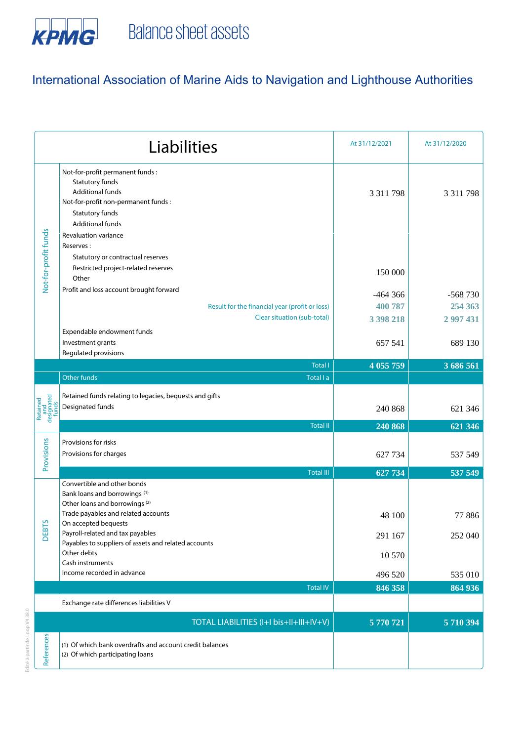

Edité à partir de Loop V4.38.0

Edité à partir de Loop V4.38.0

|                                        | Liabilities                                                                                                                                                                                         | At 31/12/2021        | At 31/12/2020    |
|----------------------------------------|-----------------------------------------------------------------------------------------------------------------------------------------------------------------------------------------------------|----------------------|------------------|
|                                        | Not-for-profit permanent funds :<br>Statutory funds<br><b>Additional funds</b><br>Not-for-profit non-permanent funds :<br>Statutory funds<br><b>Additional funds</b><br><b>Revaluation variance</b> | 3 3 1 1 7 9 8        | 3 3 1 7 7 9 8    |
| Not-for-profit funds                   | Reserves:<br>Statutory or contractual reserves<br>Restricted project-related reserves<br>Other<br>Profit and loss account brought forward                                                           | 150 000<br>$-464366$ | -568 730         |
|                                        | Result for the financial year (profit or loss)<br>Clear situation (sub-total)                                                                                                                       | 400 787              | 254 363          |
|                                        | Expendable endowment funds                                                                                                                                                                          | 3 398 218            | 2 997 431        |
|                                        | Investment grants<br>Regulated provisions                                                                                                                                                           | 657 541              | 689 130          |
|                                        | <b>Total I</b>                                                                                                                                                                                      | 4 055 759            | 3 686 561        |
|                                        | Other funds<br>Total I a                                                                                                                                                                            |                      |                  |
| Retained<br>and<br>designated<br>funds | Retained funds relating to legacies, bequests and gifts<br>Designated funds                                                                                                                         | 240 868              | 621 346          |
|                                        | <b>Total II</b>                                                                                                                                                                                     | 240 868              | 621 346          |
| Provisions                             | Provisions for risks<br>Provisions for charges                                                                                                                                                      | 627 734              | 537 549          |
|                                        | <b>Total III</b><br>Convertible and other bonds                                                                                                                                                     | 627 734              | 537 549          |
| <b>DEBTS</b>                           | Bank loans and borrowings <sup>(1)</sup><br>Other loans and borrowings <sup>(2)</sup><br>Trade payables and related accounts<br>On accepted bequests<br>Payroll-related and tax payables            | 48 100<br>291 167    | 77886<br>252 040 |
|                                        | Payables to suppliers of assets and related accounts<br>Other debts                                                                                                                                 | 10 570               |                  |
|                                        | Cash instruments<br>Income recorded in advance                                                                                                                                                      | 496 520              | 535 010          |
|                                        | <b>Total IV</b>                                                                                                                                                                                     | 846 358              | 864 936          |
|                                        | Exchange rate differences liabilities V                                                                                                                                                             |                      |                  |
|                                        | TOTAL LIABILITIES (I+I bis+II+III+IV+V)                                                                                                                                                             | 5770721              | 5710394          |
| References                             | (1) Of which bank overdrafts and account credit balances<br>(2) Of which participating loans                                                                                                        |                      |                  |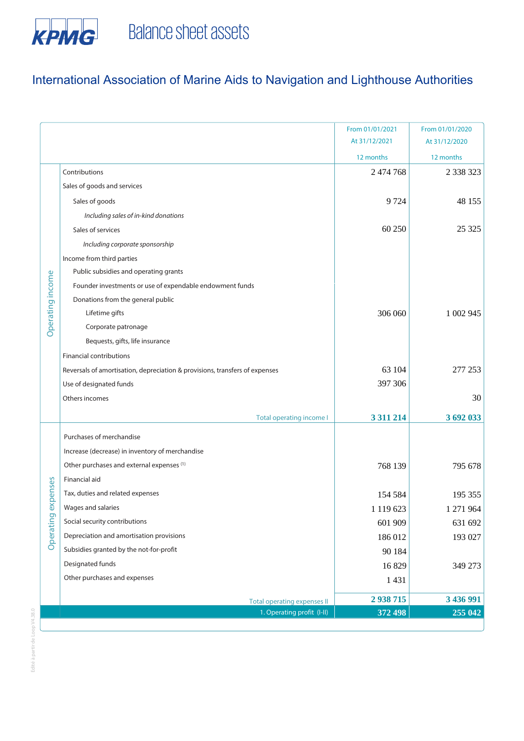

|                  |                                                                             | From 01/01/2021 | From 01/01/2020 |
|------------------|-----------------------------------------------------------------------------|-----------------|-----------------|
|                  |                                                                             | At 31/12/2021   | At 31/12/2020   |
|                  |                                                                             | 12 months       | 12 months       |
|                  | Contributions                                                               | 2 474 768       | 2 3 3 3 3 2 3   |
|                  | Sales of goods and services                                                 |                 |                 |
|                  | Sales of goods                                                              | 9 7 24          | 48 155          |
|                  | Including sales of in-kind donations                                        |                 |                 |
|                  | Sales of services                                                           | 60 250          | 25 3 25         |
|                  | Including corporate sponsorship                                             |                 |                 |
|                  | Income from third parties                                                   |                 |                 |
|                  | Public subsidies and operating grants                                       |                 |                 |
|                  | Founder investments or use of expendable endowment funds                    |                 |                 |
|                  | Donations from the general public                                           |                 |                 |
| Operating income | Lifetime gifts                                                              | 306 060         | 1 002 945       |
|                  | Corporate patronage                                                         |                 |                 |
|                  | Bequests, gifts, life insurance                                             |                 |                 |
|                  | <b>Financial contributions</b>                                              |                 |                 |
|                  | Reversals of amortisation, depreciation & provisions, transfers of expenses | 63 104          | 277 253         |
|                  | Use of designated funds                                                     | 397 306         |                 |
|                  | Others incomes                                                              |                 | 30              |
|                  | <b>Total operating income I</b>                                             | 3 3 1 2 1 4     | 3 692 033       |
|                  | Purchases of merchandise                                                    |                 |                 |
|                  |                                                                             |                 |                 |
|                  | Increase (decrease) in inventory of merchandise                             |                 |                 |
|                  | Other purchases and external expenses (1)                                   | 768 139         | 795 678         |
| expenses         | Financial aid                                                               |                 |                 |
|                  | Tax, duties and related expenses                                            | 154 584         | 195 355         |
|                  | Wages and salaries                                                          | 1 119 623       | 271964          |
| Operating        | Social security contributions                                               | 601 909         | 631 692         |
|                  | Depreciation and amortisation provisions                                    | 186 012         | 193 027         |
|                  | Subsidies granted by the not-for-profit                                     | 90 184          |                 |
|                  | Designated funds                                                            | 16829           | 349 273         |
|                  | Other purchases and expenses                                                | 1 4 3 1         |                 |
|                  | <b>Total operating expenses II</b>                                          | 2 938 715       | 3 436 991       |
|                  | 1. Operating profit (I-II)                                                  | 372 498         | 255 042         |
|                  |                                                                             |                 |                 |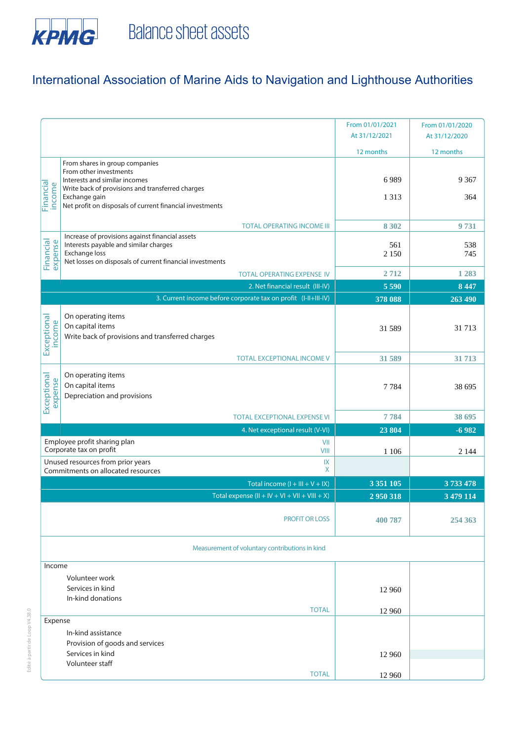

| From 01/01/2021<br>From 01/01/2020<br>At 31/12/2021<br>At 31/12/2020<br>12 months<br>12 months<br>From shares in group companies<br>From other investments<br>6989<br>9 3 6 7<br>Interests and similar incomes<br>Financial<br>income<br>Write back of provisions and transferred charges<br>1 3 1 3<br>364<br>Exchange gain<br>Net profit on disposals of current financial investments<br><b>TOTAL OPERATING INCOME III</b><br>8 3 0 2<br>9731<br>Increase of provisions against financial assets<br>Financial<br>expense<br>Interests payable and similar charges<br>538<br>561<br>Exchange loss<br>2 1 5 0<br>745<br>Net losses on disposals of current financial investments<br>1 2 8 3<br>2712<br><b>TOTAL OPERATING EXPENSE IV</b><br>5 5 9 0<br>8 4 4 7<br>2. Net financial result (III-IV)<br>3. Current income before corporate tax on profit (I-II+III-IV)<br>378 088<br>263 490<br>On operating items<br>Exceptional<br>income<br>On capital items<br>31 713<br>31 589<br>Write back of provisions and transferred charges<br><b>TOTAL EXCEPTIONAL INCOME V</b><br>31 589<br>31 713<br>On operating items<br>Exceptional<br>expense<br>On capital items<br>7 7 8 4<br>38 695<br>Depreciation and provisions |
|-------------------------------------------------------------------------------------------------------------------------------------------------------------------------------------------------------------------------------------------------------------------------------------------------------------------------------------------------------------------------------------------------------------------------------------------------------------------------------------------------------------------------------------------------------------------------------------------------------------------------------------------------------------------------------------------------------------------------------------------------------------------------------------------------------------------------------------------------------------------------------------------------------------------------------------------------------------------------------------------------------------------------------------------------------------------------------------------------------------------------------------------------------------------------------------------------------------------------|
|                                                                                                                                                                                                                                                                                                                                                                                                                                                                                                                                                                                                                                                                                                                                                                                                                                                                                                                                                                                                                                                                                                                                                                                                                         |
|                                                                                                                                                                                                                                                                                                                                                                                                                                                                                                                                                                                                                                                                                                                                                                                                                                                                                                                                                                                                                                                                                                                                                                                                                         |
|                                                                                                                                                                                                                                                                                                                                                                                                                                                                                                                                                                                                                                                                                                                                                                                                                                                                                                                                                                                                                                                                                                                                                                                                                         |
|                                                                                                                                                                                                                                                                                                                                                                                                                                                                                                                                                                                                                                                                                                                                                                                                                                                                                                                                                                                                                                                                                                                                                                                                                         |
|                                                                                                                                                                                                                                                                                                                                                                                                                                                                                                                                                                                                                                                                                                                                                                                                                                                                                                                                                                                                                                                                                                                                                                                                                         |
|                                                                                                                                                                                                                                                                                                                                                                                                                                                                                                                                                                                                                                                                                                                                                                                                                                                                                                                                                                                                                                                                                                                                                                                                                         |
|                                                                                                                                                                                                                                                                                                                                                                                                                                                                                                                                                                                                                                                                                                                                                                                                                                                                                                                                                                                                                                                                                                                                                                                                                         |
|                                                                                                                                                                                                                                                                                                                                                                                                                                                                                                                                                                                                                                                                                                                                                                                                                                                                                                                                                                                                                                                                                                                                                                                                                         |
|                                                                                                                                                                                                                                                                                                                                                                                                                                                                                                                                                                                                                                                                                                                                                                                                                                                                                                                                                                                                                                                                                                                                                                                                                         |
|                                                                                                                                                                                                                                                                                                                                                                                                                                                                                                                                                                                                                                                                                                                                                                                                                                                                                                                                                                                                                                                                                                                                                                                                                         |
|                                                                                                                                                                                                                                                                                                                                                                                                                                                                                                                                                                                                                                                                                                                                                                                                                                                                                                                                                                                                                                                                                                                                                                                                                         |
|                                                                                                                                                                                                                                                                                                                                                                                                                                                                                                                                                                                                                                                                                                                                                                                                                                                                                                                                                                                                                                                                                                                                                                                                                         |
|                                                                                                                                                                                                                                                                                                                                                                                                                                                                                                                                                                                                                                                                                                                                                                                                                                                                                                                                                                                                                                                                                                                                                                                                                         |
|                                                                                                                                                                                                                                                                                                                                                                                                                                                                                                                                                                                                                                                                                                                                                                                                                                                                                                                                                                                                                                                                                                                                                                                                                         |
|                                                                                                                                                                                                                                                                                                                                                                                                                                                                                                                                                                                                                                                                                                                                                                                                                                                                                                                                                                                                                                                                                                                                                                                                                         |
|                                                                                                                                                                                                                                                                                                                                                                                                                                                                                                                                                                                                                                                                                                                                                                                                                                                                                                                                                                                                                                                                                                                                                                                                                         |
|                                                                                                                                                                                                                                                                                                                                                                                                                                                                                                                                                                                                                                                                                                                                                                                                                                                                                                                                                                                                                                                                                                                                                                                                                         |
|                                                                                                                                                                                                                                                                                                                                                                                                                                                                                                                                                                                                                                                                                                                                                                                                                                                                                                                                                                                                                                                                                                                                                                                                                         |
|                                                                                                                                                                                                                                                                                                                                                                                                                                                                                                                                                                                                                                                                                                                                                                                                                                                                                                                                                                                                                                                                                                                                                                                                                         |
|                                                                                                                                                                                                                                                                                                                                                                                                                                                                                                                                                                                                                                                                                                                                                                                                                                                                                                                                                                                                                                                                                                                                                                                                                         |
|                                                                                                                                                                                                                                                                                                                                                                                                                                                                                                                                                                                                                                                                                                                                                                                                                                                                                                                                                                                                                                                                                                                                                                                                                         |
|                                                                                                                                                                                                                                                                                                                                                                                                                                                                                                                                                                                                                                                                                                                                                                                                                                                                                                                                                                                                                                                                                                                                                                                                                         |
|                                                                                                                                                                                                                                                                                                                                                                                                                                                                                                                                                                                                                                                                                                                                                                                                                                                                                                                                                                                                                                                                                                                                                                                                                         |
|                                                                                                                                                                                                                                                                                                                                                                                                                                                                                                                                                                                                                                                                                                                                                                                                                                                                                                                                                                                                                                                                                                                                                                                                                         |
|                                                                                                                                                                                                                                                                                                                                                                                                                                                                                                                                                                                                                                                                                                                                                                                                                                                                                                                                                                                                                                                                                                                                                                                                                         |
|                                                                                                                                                                                                                                                                                                                                                                                                                                                                                                                                                                                                                                                                                                                                                                                                                                                                                                                                                                                                                                                                                                                                                                                                                         |
| 7784<br>38 695<br><b>TOTAL EXCEPTIONAL EXPENSE VI</b>                                                                                                                                                                                                                                                                                                                                                                                                                                                                                                                                                                                                                                                                                                                                                                                                                                                                                                                                                                                                                                                                                                                                                                   |
| 4. Net exceptional result (V-VI)<br>23 804<br>$-6982$                                                                                                                                                                                                                                                                                                                                                                                                                                                                                                                                                                                                                                                                                                                                                                                                                                                                                                                                                                                                                                                                                                                                                                   |
| Employee profit sharing plan<br>VII                                                                                                                                                                                                                                                                                                                                                                                                                                                                                                                                                                                                                                                                                                                                                                                                                                                                                                                                                                                                                                                                                                                                                                                     |
| Corporate tax on profit<br>VIII<br>1 1 0 6<br>2 1 4 4                                                                                                                                                                                                                                                                                                                                                                                                                                                                                                                                                                                                                                                                                                                                                                                                                                                                                                                                                                                                                                                                                                                                                                   |
| Unused resources from prior years<br>IX                                                                                                                                                                                                                                                                                                                                                                                                                                                                                                                                                                                                                                                                                                                                                                                                                                                                                                                                                                                                                                                                                                                                                                                 |
| X<br>Commitments on allocated resources                                                                                                                                                                                                                                                                                                                                                                                                                                                                                                                                                                                                                                                                                                                                                                                                                                                                                                                                                                                                                                                                                                                                                                                 |
| 3 3 5 1 1 0 5<br>3733478<br>Total income $(I + III + V + IX)$                                                                                                                                                                                                                                                                                                                                                                                                                                                                                                                                                                                                                                                                                                                                                                                                                                                                                                                                                                                                                                                                                                                                                           |
| Total expense $(II + IV + VI + VII + VIII + X)$<br>2950318<br>3 479 114                                                                                                                                                                                                                                                                                                                                                                                                                                                                                                                                                                                                                                                                                                                                                                                                                                                                                                                                                                                                                                                                                                                                                 |
|                                                                                                                                                                                                                                                                                                                                                                                                                                                                                                                                                                                                                                                                                                                                                                                                                                                                                                                                                                                                                                                                                                                                                                                                                         |
| <b>PROFIT OR LOSS</b><br>400 787<br>254 363                                                                                                                                                                                                                                                                                                                                                                                                                                                                                                                                                                                                                                                                                                                                                                                                                                                                                                                                                                                                                                                                                                                                                                             |
|                                                                                                                                                                                                                                                                                                                                                                                                                                                                                                                                                                                                                                                                                                                                                                                                                                                                                                                                                                                                                                                                                                                                                                                                                         |
|                                                                                                                                                                                                                                                                                                                                                                                                                                                                                                                                                                                                                                                                                                                                                                                                                                                                                                                                                                                                                                                                                                                                                                                                                         |
| Measurement of voluntary contributions in kind                                                                                                                                                                                                                                                                                                                                                                                                                                                                                                                                                                                                                                                                                                                                                                                                                                                                                                                                                                                                                                                                                                                                                                          |
| Income                                                                                                                                                                                                                                                                                                                                                                                                                                                                                                                                                                                                                                                                                                                                                                                                                                                                                                                                                                                                                                                                                                                                                                                                                  |
| Volunteer work                                                                                                                                                                                                                                                                                                                                                                                                                                                                                                                                                                                                                                                                                                                                                                                                                                                                                                                                                                                                                                                                                                                                                                                                          |
| Services in kind<br>12 960                                                                                                                                                                                                                                                                                                                                                                                                                                                                                                                                                                                                                                                                                                                                                                                                                                                                                                                                                                                                                                                                                                                                                                                              |
| In-kind donations                                                                                                                                                                                                                                                                                                                                                                                                                                                                                                                                                                                                                                                                                                                                                                                                                                                                                                                                                                                                                                                                                                                                                                                                       |
| <b>TOTAL</b><br>12 960                                                                                                                                                                                                                                                                                                                                                                                                                                                                                                                                                                                                                                                                                                                                                                                                                                                                                                                                                                                                                                                                                                                                                                                                  |
| Expense                                                                                                                                                                                                                                                                                                                                                                                                                                                                                                                                                                                                                                                                                                                                                                                                                                                                                                                                                                                                                                                                                                                                                                                                                 |
| In-kind assistance                                                                                                                                                                                                                                                                                                                                                                                                                                                                                                                                                                                                                                                                                                                                                                                                                                                                                                                                                                                                                                                                                                                                                                                                      |
| Provision of goods and services                                                                                                                                                                                                                                                                                                                                                                                                                                                                                                                                                                                                                                                                                                                                                                                                                                                                                                                                                                                                                                                                                                                                                                                         |
| Services in kind<br>12 960                                                                                                                                                                                                                                                                                                                                                                                                                                                                                                                                                                                                                                                                                                                                                                                                                                                                                                                                                                                                                                                                                                                                                                                              |
| Volunteer staff                                                                                                                                                                                                                                                                                                                                                                                                                                                                                                                                                                                                                                                                                                                                                                                                                                                                                                                                                                                                                                                                                                                                                                                                         |
| <b>TOTAL</b><br>12 960                                                                                                                                                                                                                                                                                                                                                                                                                                                                                                                                                                                                                                                                                                                                                                                                                                                                                                                                                                                                                                                                                                                                                                                                  |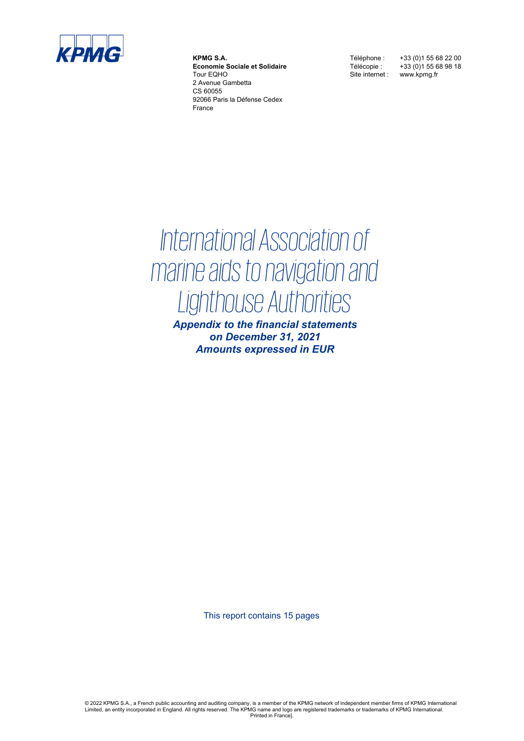

**KPMG S.A. Economie Sociale et Solidaire** Tour EQHO 2 Avenue Gambetta CS 60055 92066 Paris la Défense Cedex France

Site internet : www.kpmg.fr

Téléphone : +33 (0)1 55 68 22 00 Télécopie : +33 (0)1 55 68 98 18

## *International Association of marine aids to navigation and Lighthouse Authorities*

*Appendix to the financial statements on December 31, 2021 Amounts expressed in EUR*

This report contains 15 pages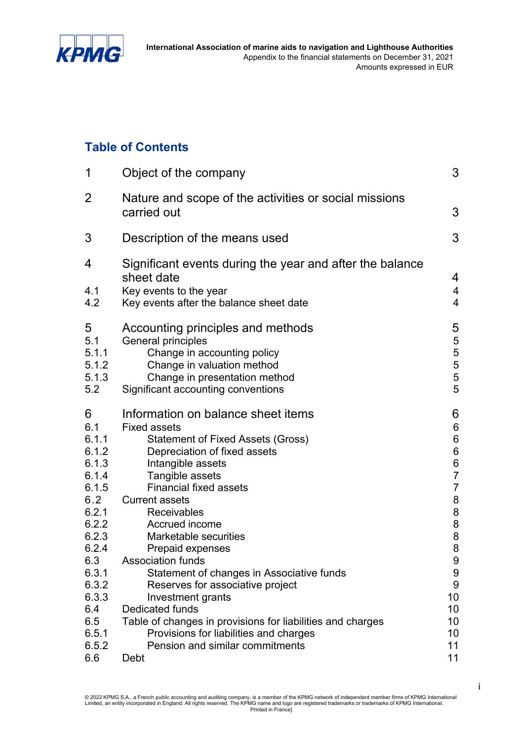

### **Table of Contents**

| 1                                                                                                                                                         | Object of the company                                                                                                                                                                                                                                                                                                                                                                                                                                                                                                                                                                            | 3                                                                                                                                                                                                |
|-----------------------------------------------------------------------------------------------------------------------------------------------------------|--------------------------------------------------------------------------------------------------------------------------------------------------------------------------------------------------------------------------------------------------------------------------------------------------------------------------------------------------------------------------------------------------------------------------------------------------------------------------------------------------------------------------------------------------------------------------------------------------|--------------------------------------------------------------------------------------------------------------------------------------------------------------------------------------------------|
| $\overline{2}$                                                                                                                                            | Nature and scope of the activities or social missions<br>carried out                                                                                                                                                                                                                                                                                                                                                                                                                                                                                                                             | 3                                                                                                                                                                                                |
| 3                                                                                                                                                         | Description of the means used                                                                                                                                                                                                                                                                                                                                                                                                                                                                                                                                                                    | 3                                                                                                                                                                                                |
| 4<br>4.1<br>4.2                                                                                                                                           | Significant events during the year and after the balance<br>sheet date<br>Key events to the year<br>Key events after the balance sheet date                                                                                                                                                                                                                                                                                                                                                                                                                                                      | 4<br>$\overline{4}$<br>$\overline{4}$                                                                                                                                                            |
| 5<br>5.1<br>5.1.1<br>5.1.2<br>5.1.3<br>5.2                                                                                                                | Accounting principles and methods<br>General principles<br>Change in accounting policy<br>Change in valuation method<br>Change in presentation method<br>Significant accounting conventions                                                                                                                                                                                                                                                                                                                                                                                                      | 5<br>5<br>5<br>5<br>5<br>5<br>5                                                                                                                                                                  |
| 6<br>6.1<br>6.1.1<br>6.1.2<br>6.1.3<br>6.1.4<br>6.1.5<br>6.2<br>6.2.1<br>6.2.2<br>6.2.3<br>6.2.4<br>6.3<br>6.3.1<br>6.3.2<br>6.3.3<br>6.4<br>6.5<br>6.5.1 | Information on balance sheet items<br><b>Fixed assets</b><br>Statement of Fixed Assets (Gross)<br>Depreciation of fixed assets<br>Intangible assets<br>Tangible assets<br><b>Financial fixed assets</b><br><b>Current assets</b><br><b>Receivables</b><br>Accrued income<br>Marketable securities<br><b>Prepaid expenses</b><br><b>Association funds</b><br>Statement of changes in Associative funds<br>Reserves for associative project<br>Investment grants<br><b>Dedicated funds</b><br>Table of changes in provisions for liabilities and charges<br>Provisions for liabilities and charges | 6<br>$\boldsymbol{6}$<br>$\begin{array}{c} 6 \\ 6 \end{array}$<br>$\frac{6}{7}$<br>$\overline{7}$<br>8<br>8<br>$\begin{array}{c} 8 \\ 8 \end{array}$<br>8<br>9<br>9<br>9<br>10<br>10<br>10<br>10 |
| 6.5.2<br>6.6                                                                                                                                              | Pension and similar commitments<br>Debt                                                                                                                                                                                                                                                                                                                                                                                                                                                                                                                                                          | 11<br>11                                                                                                                                                                                         |

i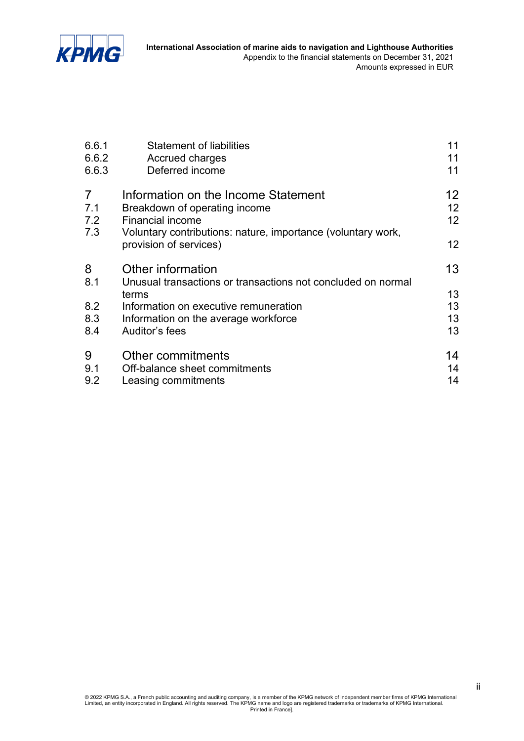

| 6.6.1                               | <b>Statement of liabilities</b>                                                                                                                                                               | 11                         |
|-------------------------------------|-----------------------------------------------------------------------------------------------------------------------------------------------------------------------------------------------|----------------------------|
| 6.6.2                               | Accrued charges                                                                                                                                                                               | 11                         |
| 6.6.3                               | Deferred income                                                                                                                                                                               | 11                         |
| $\overline{7}$<br>7.1<br>7.2<br>7.3 | Information on the Income Statement<br>Breakdown of operating income<br><b>Financial income</b><br>Voluntary contributions: nature, importance (voluntary work,<br>provision of services)     | 12<br>12<br>12<br>12       |
| 8<br>8.1<br>8.2<br>8.3<br>8.4       | Other information<br>Unusual transactions or transactions not concluded on normal<br>terms<br>Information on executive remuneration<br>Information on the average workforce<br>Auditor's fees | 13<br>13<br>13<br>13<br>13 |
| 9                                   | Other commitments                                                                                                                                                                             | 14                         |
| 9.1                                 | Off-balance sheet commitments                                                                                                                                                                 | 14                         |
| 9.2                                 | Leasing commitments                                                                                                                                                                           | 14                         |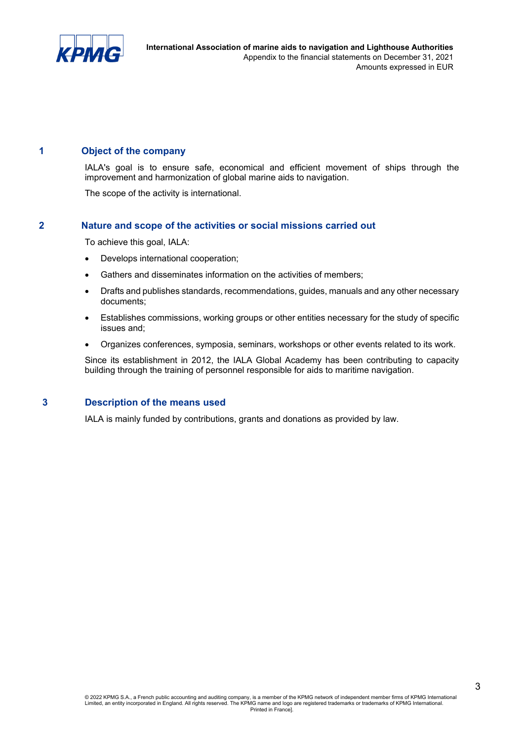

#### **1 Object of the company**

IALA's goal is to ensure safe, economical and efficient movement of ships through the improvement and harmonization of global marine aids to navigation.

The scope of the activity is international.

#### **2 Nature and scope of the activities or social missions carried out**

To achieve this goal, IALA:

- Develops international cooperation;
- Gathers and disseminates information on the activities of members;
- Drafts and publishes standards, recommendations, guides, manuals and any other necessary documents;
- Establishes commissions, working groups or other entities necessary for the study of specific issues and;
- Organizes conferences, symposia, seminars, workshops or other events related to its work.

Since its establishment in 2012, the IALA Global Academy has been contributing to capacity building through the training of personnel responsible for aids to maritime navigation.

#### **3 Description of the means used**

IALA is mainly funded by contributions, grants and donations as provided by law.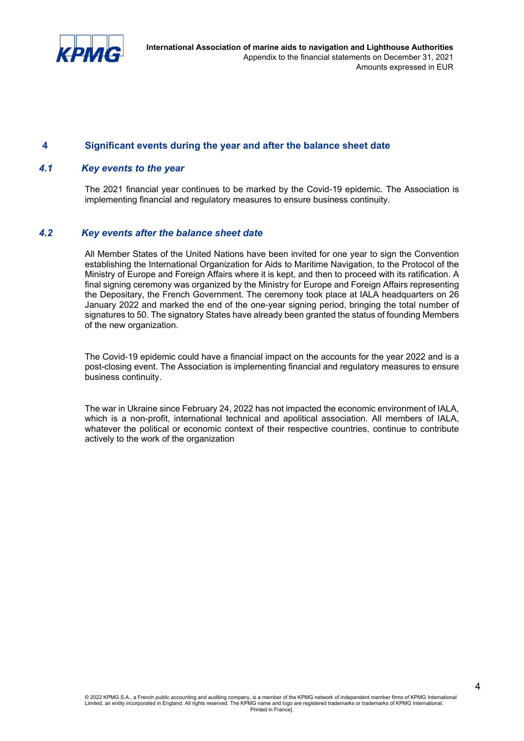

#### **4 Significant events during the year and after the balance sheet date**

#### *4.1 Key events to the year*

The 2021 financial year continues to be marked by the Covid-19 epidemic. The Association is implementing financial and regulatory measures to ensure business continuity.

#### *4.2 Key events after the balance sheet date*

All Member States of the United Nations have been invited for one year to sign the Convention establishing the International Organization for Aids to Maritime Navigation, to the Protocol of the Ministry of Europe and Foreign Affairs where it is kept, and then to proceed with its ratification. A final signing ceremony was organized by the Ministry for Europe and Foreign Affairs representing the Depositary, the French Government. The ceremony took place at IALA headquarters on 26 January 2022 and marked the end of the one-year signing period, bringing the total number of signatures to 50. The signatory States have already been granted the status of founding Members of the new organization.

The Covid-19 epidemic could have a financial impact on the accounts for the year 2022 and is a post-closing event. The Association is implementing financial and regulatory measures to ensure business continuity.

The war in Ukraine since February 24, 2022 has not impacted the economic environment of IALA, which is a non-profit, international technical and apolitical association. All members of IALA, whatever the political or economic context of their respective countries, continue to contribute actively to the work of the organization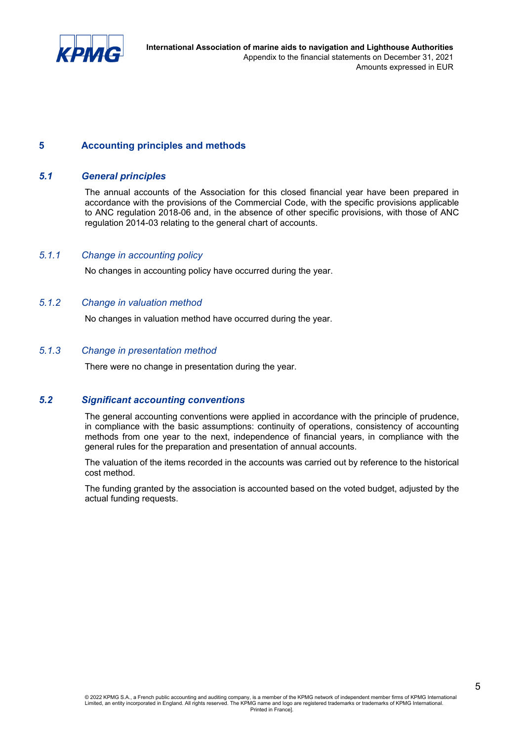

#### **5 Accounting principles and methods**

#### *5.1 General principles*

The annual accounts of the Association for this closed financial year have been prepared in accordance with the provisions of the Commercial Code, with the specific provisions applicable to ANC regulation 2018-06 and, in the absence of other specific provisions, with those of ANC regulation 2014-03 relating to the general chart of accounts.

#### *5.1.1 Change in accounting policy*

No changes in accounting policy have occurred during the year.

#### *5.1.2 Change in valuation method*

No changes in valuation method have occurred during the year.

#### *5.1.3 Change in presentation method*

There were no change in presentation during the year.

#### *5.2 Significant accounting conventions*

The general accounting conventions were applied in accordance with the principle of prudence, in compliance with the basic assumptions: continuity of operations, consistency of accounting methods from one year to the next, independence of financial years, in compliance with the general rules for the preparation and presentation of annual accounts.

The valuation of the items recorded in the accounts was carried out by reference to the historical cost method.

The funding granted by the association is accounted based on the voted budget, adjusted by the actual funding requests.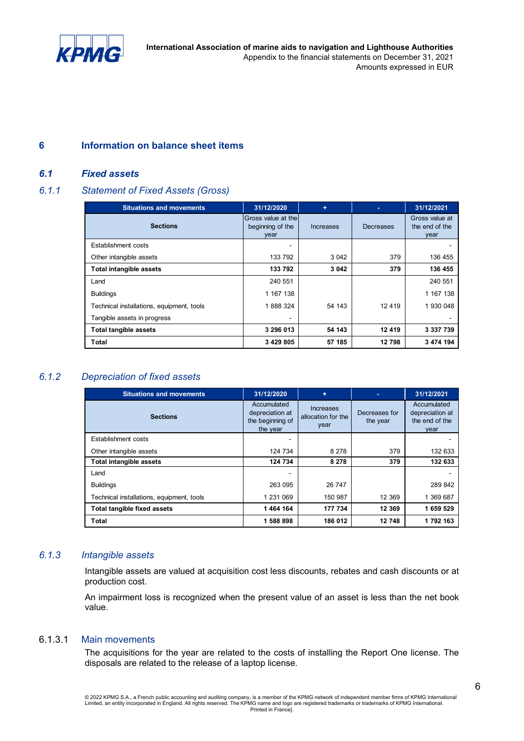

**International Association of marine aids to navigation and Lighthouse Authorities** Appendix to the financial statements on December 31, 2021 Amounts expressed in EUR

#### **6 Information on balance sheet items**

#### *6.1 Fixed assets*

#### *6.1.1 Statement of Fixed Assets (Gross)*

| <b>Situations and movements</b>           | 31/12/2020                                       | ٠         | ٠         | 31/12/2021                               |
|-------------------------------------------|--------------------------------------------------|-----------|-----------|------------------------------------------|
| <b>Sections</b>                           | Gross value at the l<br>beginning of the<br>year | Increases | Decreases | Gross value at<br>the end of the<br>year |
| Establishment costs                       |                                                  |           |           |                                          |
| Other intangible assets                   | 133 792                                          | 3 0 4 2   | 379       | 136 455                                  |
| <b>Total intangible assets</b>            | 133 792                                          | 3 0 4 2   | 379       | 136 455                                  |
| Land                                      | 240 551                                          |           |           | 240 551                                  |
| <b>Buildings</b>                          | 1 167 138                                        |           |           | 1 167 138                                |
| Technical installations, equipment, tools | 1888324                                          | 54 143    | 12 4 19   | 1 930 048                                |
| Tangible assets in progress               | $\,$                                             |           |           |                                          |
| <b>Total tangible assets</b>              | 3 296 013                                        | 54 143    | 12 419    | 3 337 739                                |
| Total                                     | 3 429 805                                        | 57 185    | 12798     | 3 474 194                                |

#### *6.1.2 Depreciation of fixed assets*

| <b>Situations and movements</b>           | 31/12/2020                                                     | ÷                                       | ٠                         | 31/12/2021                                               |
|-------------------------------------------|----------------------------------------------------------------|-----------------------------------------|---------------------------|----------------------------------------------------------|
| <b>Sections</b>                           | Accumulated<br>depreciation at<br>the beginning of<br>the year | Increases<br>allocation for the<br>year | Decreases for<br>the year | Accumulated<br>depreciation at<br>the end of the<br>vear |
| Establishment costs                       |                                                                |                                         |                           |                                                          |
| Other intangible assets                   | 124 734                                                        | 8 2 7 8                                 | 379                       | 132 633                                                  |
| Total intangible assets                   | 124 734                                                        | 8 2 7 8                                 | 379                       | 132 633                                                  |
| Land                                      | -                                                              |                                         |                           |                                                          |
| <b>Buildings</b>                          | 263 095                                                        | 26 747                                  |                           | 289 842                                                  |
| Technical installations, equipment, tools | 1 231 069                                                      | 150 987                                 | 12 3 69                   | 1 369 687                                                |
| Total tangible fixed assets               | 1464 164                                                       | 177 734                                 | 12 3 69                   | 1 659 529                                                |
| Total                                     | 1 588 898                                                      | 186 012                                 | 12748                     | 1792163                                                  |

#### *6.1.3 Intangible assets*

Intangible assets are valued at acquisition cost less discounts, rebates and cash discounts or at production cost.

An impairment loss is recognized when the present value of an asset is less than the net book value.

#### 6.1.3.1 Main movements

The acquisitions for the year are related to the costs of installing the Report One license. The disposals are related to the release of a laptop license.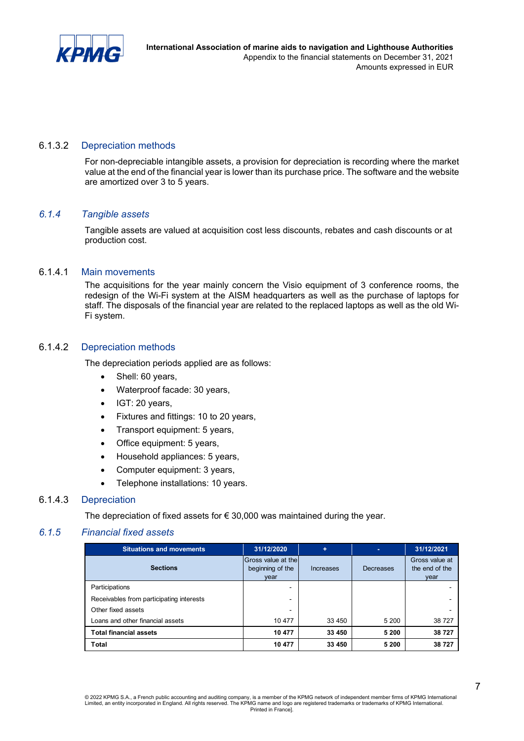

#### 6.1.3.2 Depreciation methods

For non-depreciable intangible assets, a provision for depreciation is recording where the market value at the end of the financial year is lower than its purchase price. The software and the website are amortized over 3 to 5 years.

#### *6.1.4 Tangible assets*

Tangible assets are valued at acquisition cost less discounts, rebates and cash discounts or at production cost.

#### 6.1.4.1 Main movements

The acquisitions for the year mainly concern the Visio equipment of 3 conference rooms, the redesign of the Wi-Fi system at the AISM headquarters as well as the purchase of laptops for staff. The disposals of the financial year are related to the replaced laptops as well as the old Wi-Fi system.

#### 6.1.4.2 Depreciation methods

The depreciation periods applied are as follows:

- Shell: 60 years,
- Waterproof facade: 30 years,
- IGT: 20 years,
- Fixtures and fittings: 10 to 20 years,
- Transport equipment: 5 years,
- Office equipment: 5 years,
- Household appliances: 5 years,
- Computer equipment: 3 years,
- Telephone installations: 10 years.

#### 6.1.4.3 Depreciation

The depreciation of fixed assets for  $\epsilon$  30,000 was maintained during the year.

#### *6.1.5 Financial fixed assets*

| <b>Situations and movements</b><br>31/12/2020 |                                                | ٠         | ٠         | 31/12/2021                               |
|-----------------------------------------------|------------------------------------------------|-----------|-----------|------------------------------------------|
| <b>Sections</b>                               | Gross value at the<br>beginning of the<br>vear | Increases | Decreases | Gross value at<br>the end of the<br>year |
| Participations                                |                                                |           |           |                                          |
| Receivables from participating interests      | -                                              |           |           |                                          |
| Other fixed assets                            | -                                              |           |           |                                          |
| Loans and other financial assets              | 10 477                                         | 33 450    | 5 200     | 38 727                                   |
| <b>Total financial assets</b>                 | 10 477                                         | 33 450    | 5 200     | 38 727                                   |
| Total                                         | 10 477                                         | 33 450    | 5 200     | 38 727                                   |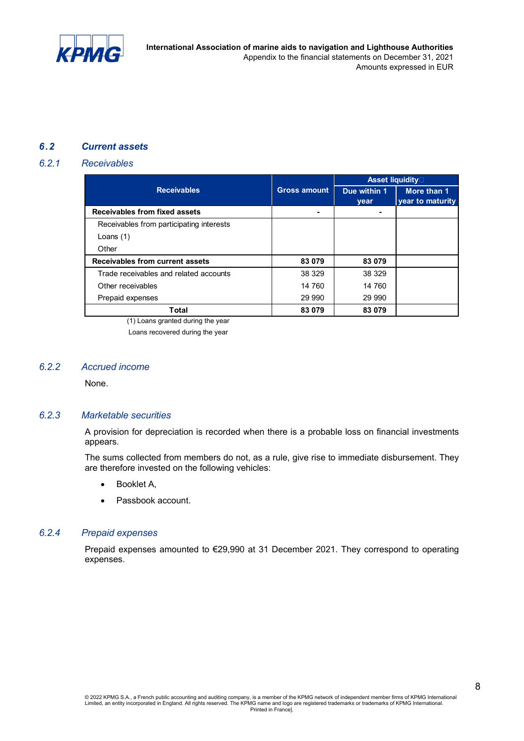

**International Association of marine aids to navigation and Lighthouse Authorities** Appendix to the financial statements on December 31, 2021 Amounts expressed in EUR

#### *6.2 Current assets*

#### *6.2.1 Receivables*

|                                          |                     | Asset liquidity |                  |  |
|------------------------------------------|---------------------|-----------------|------------------|--|
| <b>Receivables</b>                       | <b>Gross amount</b> | Due within 1    | More than 1      |  |
|                                          |                     | year            | year to maturity |  |
| Receivables from fixed assets            |                     | $\blacksquare$  |                  |  |
| Receivables from participating interests |                     |                 |                  |  |
| Loans $(1)$                              |                     |                 |                  |  |
| Other                                    |                     |                 |                  |  |
| Receivables from current assets          | 83 079              | 83 079          |                  |  |
| Trade receivables and related accounts   | 38 329              | 38 329          |                  |  |
| Other receivables                        | 14 760              | 14 760          |                  |  |
| Prepaid expenses                         | 29 990              | 29 990          |                  |  |
| Total                                    | 83 079              | 83 079          |                  |  |

(1) Loans granted during the year Loans recovered during the year

#### *6.2.2 Accrued income*

None.

#### *6.2.3 Marketable securities*

A provision for depreciation is recorded when there is a probable loss on financial investments appears.

The sums collected from members do not, as a rule, give rise to immediate disbursement. They are therefore invested on the following vehicles:

- Booklet A,
- Passbook account.

#### *6.2.4 Prepaid expenses*

Prepaid expenses amounted to €29,990 at 31 December 2021. They correspond to operating expenses.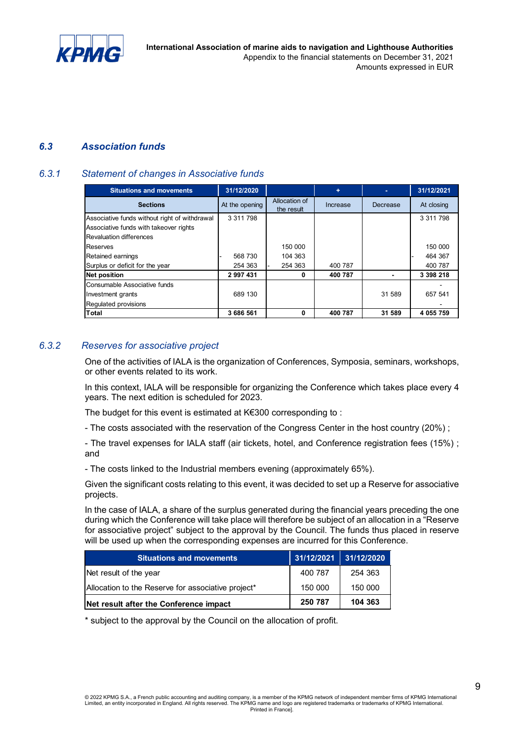

**International Association of marine aids to navigation and Lighthouse Authorities** Appendix to the financial statements on December 31, 2021 Amounts expressed in EUR

#### *6.3 Association funds*

#### *6.3.1 Statement of changes in Associative funds*

| <b>Situations and movements</b>               | 31/12/2020     |                             | ÷        |          | 31/12/2021 |
|-----------------------------------------------|----------------|-----------------------------|----------|----------|------------|
| <b>Sections</b>                               | At the opening | Allocation of<br>the result | Increase | Decrease | At closing |
| Associative funds without right of withdrawal | 3 311 798      |                             |          |          | 3 311 798  |
| Associative funds with takeover rights        |                |                             |          |          |            |
| <b>Revaluation differences</b>                |                |                             |          |          |            |
| Reserves                                      |                | 150 000                     |          |          | 150 000    |
| Retained earnings                             | 568 730        | 104 363                     |          |          | 464 367    |
| Surplus or deficit for the year               | 254 363        | 254 363                     | 400 787  |          | 400 787    |
| <b>Net position</b>                           | 2 997 431      | 0                           | 400 787  |          | 3 398 218  |
| Consumable Associative funds                  |                |                             |          |          |            |
| Investment grants                             | 689 130        |                             |          | 31 589   | 657 541    |
| Regulated provisions                          |                |                             |          |          |            |
| <b>Total</b>                                  | 3 686 561      | 0                           | 400 787  | 31 589   | 4 055 759  |

#### *6.3.2 Reserves for associative project*

One of the activities of IALA is the organization of Conferences, Symposia, seminars, workshops, or other events related to its work.

In this context, IALA will be responsible for organizing the Conference which takes place every 4 years. The next edition is scheduled for 2023.

The budget for this event is estimated at K€300 corresponding to :

- The costs associated with the reservation of the Congress Center in the host country (20%) ;

- The travel expenses for IALA staff (air tickets, hotel, and Conference registration fees (15%) ; and

- The costs linked to the Industrial members evening (approximately 65%).

Given the significant costs relating to this event, it was decided to set up a Reserve for associative projects.

In the case of IALA, a share of the surplus generated during the financial years preceding the one during which the Conference will take place will therefore be subject of an allocation in a "Reserve for associative project" subject to the approval by the Council. The funds thus placed in reserve will be used up when the corresponding expenses are incurred for this Conference.

| <b>Situations and movements</b>                    | 31/12/2021 | 31/12/2020 |
|----------------------------------------------------|------------|------------|
| Net result of the year                             | 400 787    | 254 363    |
| Allocation to the Reserve for associative project* | 150 000    | 150 000    |
| Net result after the Conference impact             | 250 787    | 104 363    |

\* subject to the approval by the Council on the allocation of profit.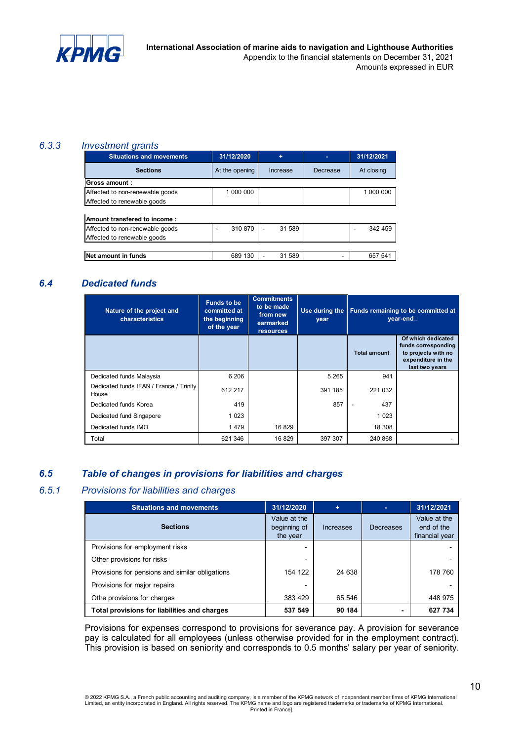

#### *6.3.3 Investment grants*

| <b>Situations and movements</b> | 31/12/2020     | ٠           | ۰        | 31/12/2021 |
|---------------------------------|----------------|-------------|----------|------------|
| <b>Sections</b>                 | At the opening | Increase    | Decrease | At closing |
| Gross amount:                   |                |             |          |            |
| Affected to non-renewable goods | 1 000 000      |             |          | 1 000 000  |
| Affected to renewable goods     |                |             |          |            |
|                                 |                |             |          |            |
| Amount transfered to income:    |                |             |          |            |
| Affected to non-renewable goods | 310 870        | 31 589<br>٠ |          | 342 459    |
| Affected to renewable goods     |                |             |          |            |
|                                 |                |             |          |            |
| Net amount in funds             | 689 130        | 31 589      | ۰        | 657 541    |

#### *6.4 Dedicated funds*

| Nature of the project and<br>characteristics     | <b>Funds to be</b><br>committed at<br>the beginning<br>of the year | <b>Commitments</b><br>to be made<br>from new<br>earmarked<br><b>resources</b> | Use during the<br>year | Funds remaining to be committed at<br>vear-end |                                                                                                          |
|--------------------------------------------------|--------------------------------------------------------------------|-------------------------------------------------------------------------------|------------------------|------------------------------------------------|----------------------------------------------------------------------------------------------------------|
|                                                  |                                                                    |                                                                               |                        | <b>Total amount</b>                            | Of which dedicated<br>funds corresponding<br>to projects with no<br>expenditure in the<br>last two years |
| Dedicated funds Malaysia                         | 6 20 6                                                             |                                                                               | 5 2 6 5                | 941                                            |                                                                                                          |
| Dedicated funds IFAN / France / Trinity<br>House | 612 217                                                            |                                                                               | 391 185                | 221 032                                        |                                                                                                          |
| Dedicated funds Korea                            | 419                                                                |                                                                               | 857                    | 437<br>$\overline{\phantom{a}}$                |                                                                                                          |
| Dedicated fund Singapore                         | 1 0 2 3                                                            |                                                                               |                        | 1 0 2 3                                        |                                                                                                          |
| Dedicated funds IMO                              | 1479                                                               | 16 829                                                                        |                        | 18 308                                         |                                                                                                          |
| Total                                            | 621 346                                                            | 16 829                                                                        | 397 307                | 240 868                                        |                                                                                                          |

#### *6.5 Table of changes in provisions for liabilities and charges*

#### *6.5.1 Provisions for liabilities and charges*

| <b>Situations and movements</b>                 | 31/12/2020                               | ÷         | ٠         | 31/12/2021                                   |
|-------------------------------------------------|------------------------------------------|-----------|-----------|----------------------------------------------|
| <b>Sections</b>                                 | Value at the<br>beginning of<br>the year | Increases | Decreases | Value at the<br>end of the<br>financial year |
| Provisions for employment risks                 | -                                        |           |           |                                              |
| Other provisions for risks                      | $\overline{\phantom{a}}$                 |           |           |                                              |
| Provisions for pensions and similar obligations | 154 122                                  | 24 638    |           | 178 760                                      |
| Provisions for major repairs                    |                                          |           |           |                                              |
| Othe provisions for charges                     | 383 429                                  | 65 546    |           | 448 975                                      |
| Total provisions for liabilities and charges    | 537 549                                  | 90 184    |           | 627 734                                      |

Provisions for expenses correspond to provisions for severance pay. A provision for severance pay is calculated for all employees (unless otherwise provided for in the employment contract). This provision is based on seniority and corresponds to 0.5 months' salary per year of seniority.

© 2022 KPMG S.A., a French public accounting and auditing company, is a member of the KPMG network of independent member firms of KPMG International<br>Limited, an entity incorporated in England. All rights reserved. The KPMG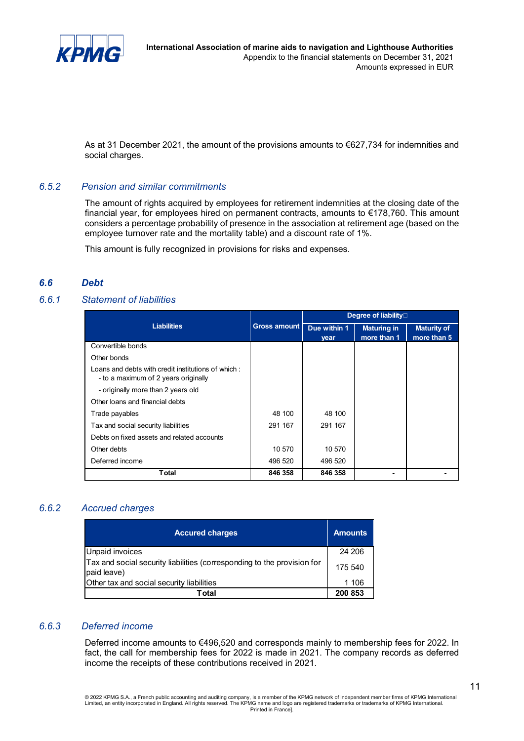

As at 31 December 2021, the amount of the provisions amounts to €627,734 for indemnities and social charges.

#### *6.5.2 Pension and similar commitments*

The amount of rights acquired by employees for retirement indemnities at the closing date of the financial year, for employees hired on permanent contracts, amounts to €178,760. This amount considers a percentage probability of presence in the association at retirement age (based on the employee turnover rate and the mortality table) and a discount rate of 1%.

This amount is fully recognized in provisions for risks and expenses.

#### *6.6 Debt*

#### *6.6.1 Statement of liabilities*

|                                                                                           |                     |                      | <b>Degree of liability</b> □      |                                   |
|-------------------------------------------------------------------------------------------|---------------------|----------------------|-----------------------------------|-----------------------------------|
| <b>Liabilities</b>                                                                        | <b>Gross amount</b> | Due within 1<br>year | <b>Maturing in</b><br>more than 1 | <b>Maturity of</b><br>more than 5 |
| Convertible bonds                                                                         |                     |                      |                                   |                                   |
| Other bonds                                                                               |                     |                      |                                   |                                   |
| Loans and debts with credit institutions of which<br>- to a maximum of 2 years originally |                     |                      |                                   |                                   |
| - originally more than 2 years old                                                        |                     |                      |                                   |                                   |
| Other loans and financial debts                                                           |                     |                      |                                   |                                   |
| Trade payables                                                                            | 48 100              | 48 100               |                                   |                                   |
| Tax and social security liabilities                                                       | 291 167             | 291 167              |                                   |                                   |
| Debts on fixed assets and related accounts                                                |                     |                      |                                   |                                   |
| Other debts                                                                               | 10 570              | 10 570               |                                   |                                   |
| Deferred income                                                                           | 496 520             | 496 520              |                                   |                                   |
| Total                                                                                     | 846 358             | 846 358              |                                   |                                   |

#### *6.6.2 Accrued charges*

| <b>Accured charges</b>                                                                 | <b>Amounts</b> |
|----------------------------------------------------------------------------------------|----------------|
| Unpaid invoices                                                                        | 24 206         |
| Tax and social security liabilities (corresponding to the provision for<br>paid leave) | 175 540        |
| Other tax and social security liabilities                                              | 1 1 0 6        |
| Total                                                                                  | 200 853        |

#### *6.6.3 Deferred income*

Deferred income amounts to €496,520 and corresponds mainly to membership fees for 2022. In fact, the call for membership fees for 2022 is made in 2021. The company records as deferred income the receipts of these contributions received in 2021.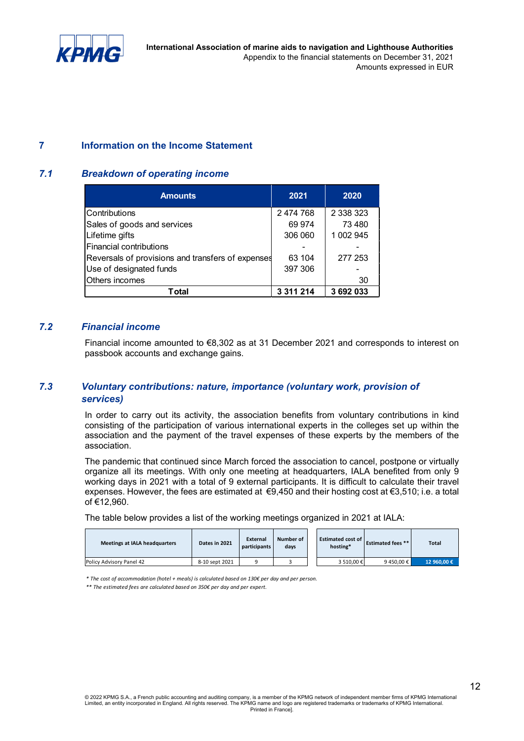

**International Association of marine aids to navigation and Lighthouse Authorities** Appendix to the financial statements on December 31, 2021 Amounts expressed in EUR

#### **7 Information on the Income Statement**

#### *7.1 Breakdown of operating income*

| <b>Amounts</b>                                    | 2021        | 2020      |
|---------------------------------------------------|-------------|-----------|
| Contributions                                     | 2 474 768   | 2 338 323 |
| Sales of goods and services                       | 69 974      | 73 480    |
| Lifetime gifts                                    | 306 060     | 1 002 945 |
| <b>Financial contributions</b>                    |             |           |
| Reversals of provisions and transfers of expenses | 63 104      | 277 253   |
| Use of designated funds                           | 397 306     |           |
| Others incomes                                    |             | 30        |
| Total                                             | 3 3 1 2 1 4 | 3692033   |

#### *7.2 Financial income*

Financial income amounted to €8,302 as at 31 December 2021 and corresponds to interest on passbook accounts and exchange gains.

#### *7.3 Voluntary contributions: nature, importance (voluntary work, provision of services)*

In order to carry out its activity, the association benefits from voluntary contributions in kind consisting of the participation of various international experts in the colleges set up within the association and the payment of the travel expenses of these experts by the members of the association.

The pandemic that continued since March forced the association to cancel, postpone or virtually organize all its meetings. With only one meeting at headquarters, IALA benefited from only 9 working days in 2021 with a total of 9 external participants. It is difficult to calculate their travel expenses. However, the fees are estimated at €9,450 and their hosting cost at €3,510; i.e. a total of €12,960.

The table below provides a list of the working meetings organized in 2021 at IALA:

| <b>Meetings at IALA headquarters</b> | Dates in 2021  | External<br>participants | Number of<br>days | <b>Estimated cost of</b><br>hosting* | <b>Estimated fees **</b> | <b>Total</b> |
|--------------------------------------|----------------|--------------------------|-------------------|--------------------------------------|--------------------------|--------------|
| Policy Advisory Panel 42             | 8-10 sept 2021 |                          |                   | 3 510.00 €                           | 9450.00 €                | 12 960.00 €  |

*\* The cost of accommodation (hotel + meals) is calculated based on 130€ per day and per person.* 

*\*\* The estimated fees are calculated based on 350€ per day and per expert.*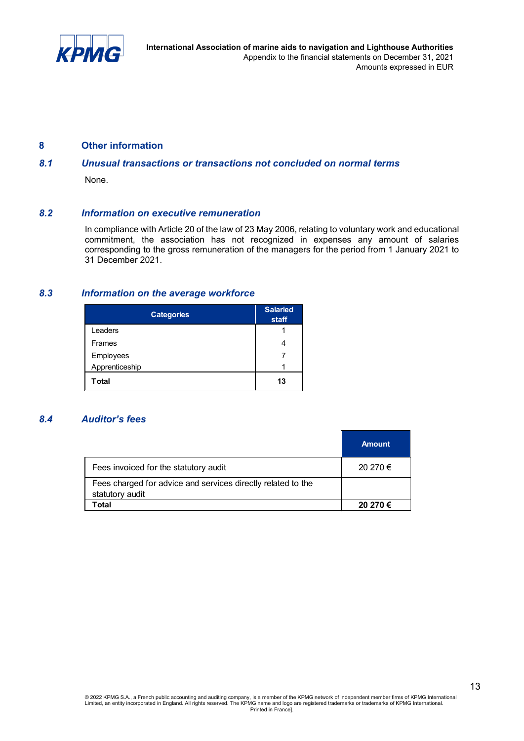

#### **8 Other information**

#### *8.1 Unusual transactions or transactions not concluded on normal terms*

None.

#### *8.2 Information on executive remuneration*

In compliance with Article 20 of the law of 23 May 2006, relating to voluntary work and educational commitment, the association has not recognized in expenses any amount of salaries corresponding to the gross remuneration of the managers for the period from 1 January 2021 to 31 December 2021.

#### *8.3 Information on the average workforce*

| <b>Categories</b> | <b>Salaried</b><br>staff |
|-------------------|--------------------------|
| Leaders           |                          |
| Frames            |                          |
| Employees         |                          |
| Apprenticeship    | 4                        |
| <b>T</b> otal     | 13                       |

#### *8.4 Auditor's fees*

|                                                                                 | <b>Amount</b> |
|---------------------------------------------------------------------------------|---------------|
| Fees invoiced for the statutory audit                                           | 20 270 €      |
| Fees charged for advice and services directly related to the<br>statutory audit |               |
| Total                                                                           | 20 270 €      |